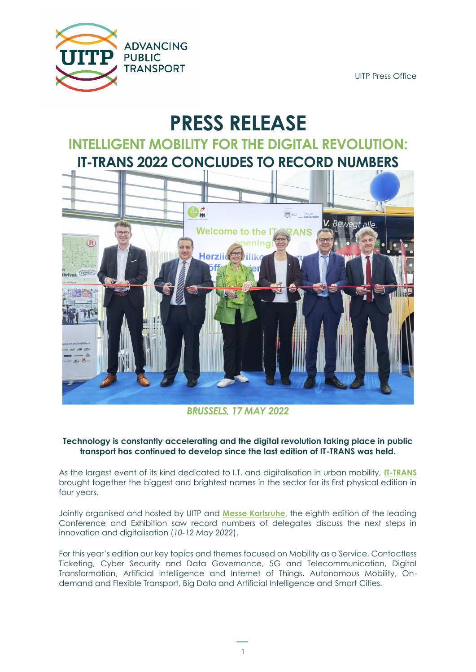

UITP Press Office

# **PRESS RELEASE**

**INTELLIGENT MOBILITY FOR THE DIGITAL REVOLUTION: IT-TRANS 2022 CONCLUDES TO RECORD NUMBERS**



*BRUSSELS, 17 MAY 2022* 

## **Technology is constantly accelerating and the digital revolution taking place in public transport has continued to develop since the last edition of IT-TRANS was held.**

As the largest event of its kind dedicated to I.T. and digitalisation in urban mobility, **[IT-TRANS](http://www.it-trans.org/)** brought together the biggest and brightest names in the sector for its first physical edition in four years.

Jointly organised and hosted by UITP and **[Messe Karlsruhe,](http://www.messe-karlsruhe.de/)** the eighth edition of the leading Conference and Exhibition saw record numbers of delegates discuss the next steps in innovation and digitalisation (*10-12 May 2022*).

For this year's edition our key topics and themes focused on Mobility as a Service, Contactless Ticketing, Cyber Security and Data Governance, 5G and Telecommunication, Digital Transformation, Artificial Intelligence and Internet of Things, Autonomous Mobility, Ondemand and Flexible Transport, Big Data and Artificial Intelligence and Smart Cities.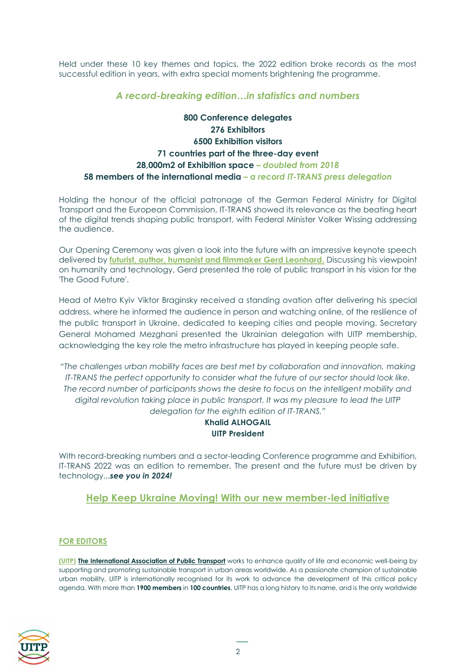Held under these 10 key themes and topics, the 2022 edition broke records as the most successful edition in years, with extra special moments brightening the programme.

# *A record-breaking edition…in statistics and numbers*

# **800 Conference delegates 276 Exhibitors 6500 Exhibition visitors 71 countries part of the three-day event 28,000m2 of Exhibition space –** *doubled from 2018* **58 members of the international media –** *a record IT-TRANS press delegation*

Holding the honour of the official patronage of the German Federal Ministry for Digital Transport and the European Commission, IT-TRANS showed its relevance as the beating heart of the digital trends shaping public transport, with Federal Minister Volker Wissing addressing the audience.

Our Opening Ceremony was given a look into the future with an impressive keynote speech delivered by **[futurist, author, humanist and filmmaker Gerd Leonhard.](https://www.uitp.org/news/futurist-author-humanist-and-filmmaker-its-time-to-talk-tech-with-it-trans-keynote-gerd-leonhard/)** Discussing his viewpoint on humanity and technology, Gerd presented the role of public transport in his vision for the 'The Good Future'.

Head of Metro Kyiv Viktor Braginsky received a standing ovation after delivering his special address, where he informed the audience in person and watching online, of the resilience of the public transport in Ukraine, dedicated to keeping cities and people moving. Secretary General Mohamed Mezghani presented the Ukrainian delegation with UITP membership, acknowledging the key role the metro infrastructure has played in keeping people safe.

*"The challenges urban mobility faces are best met by collaboration and innovation, making IT-TRANS the perfect opportunity to consider what the future of our sector should look like. The record number of participants shows the desire to focus on the intelligent mobility and digital revolution taking place in public transport. It was my pleasure to lead the UITP delegation for the eighth edition of IT-TRANS."*

## **Khalid ALHOGAIL UITP President**

With record-breaking numbers and a sector-leading Conference programme and Exhibition, IT-TRANS 2022 was an edition to remember. The present and the future must be driven by technology...*see you in 2024!*

**Help [Keep Ukraine Moving! With our new member-led initiative](https://www.uitp.org/news/spare-parts-for-ukraine/)**

#### **FOR EDITORS**

**[\(UITP\)](http://www.uitp.org/) The International Association of Public Transport** works to enhance quality of life and economic well-being by supporting and promoting sustainable transport in urban areas worldwide. As a passionate champion of sustainable urban mobility, UITP is internationally recognised for its work to advance the development of this critical policy agenda. With more than **1900 members** in **100 countries**, UITP has a long history to its name, and is the only worldwide